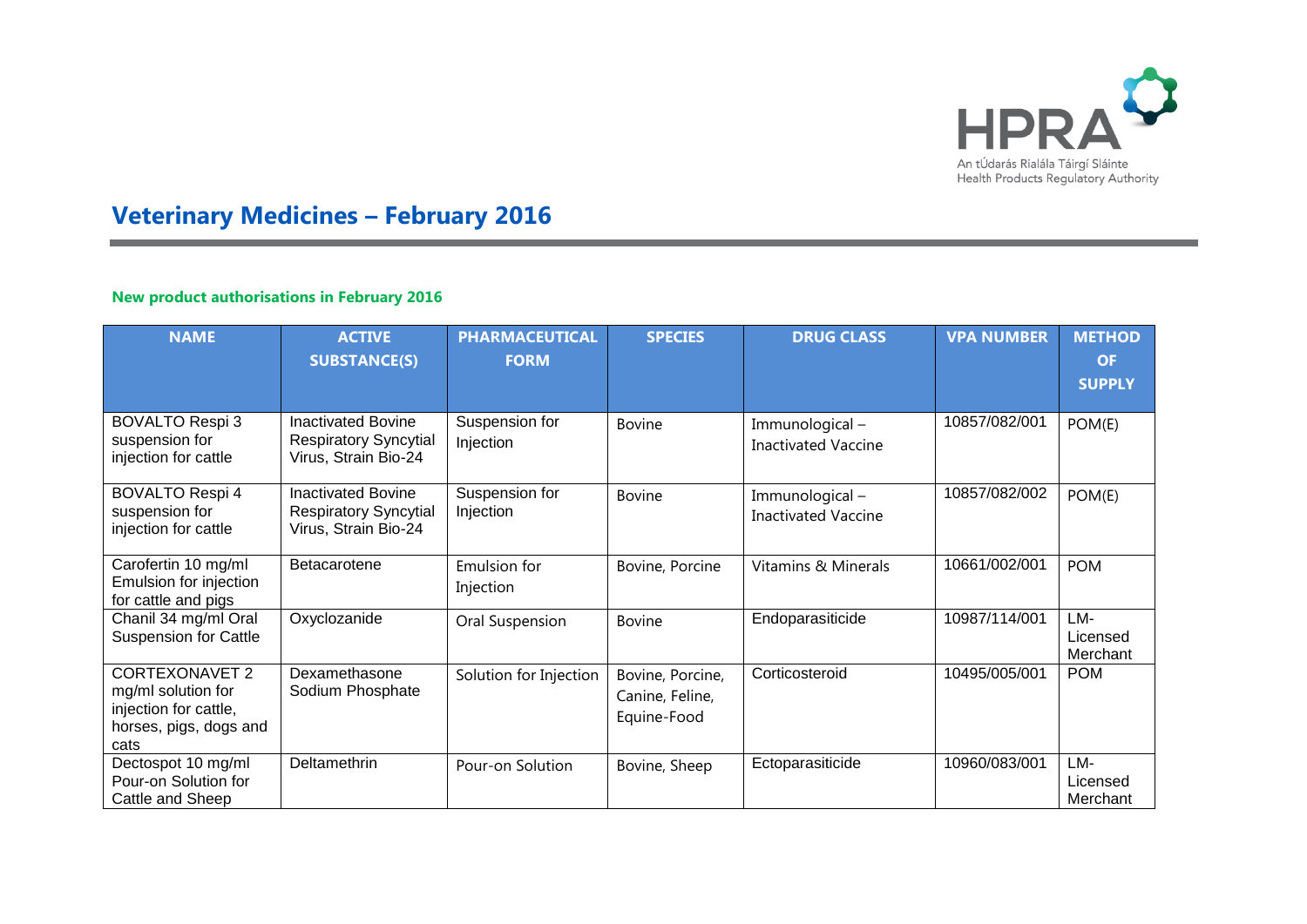

## **Veterinary Medicines – February 2016**

## **New product authorisations in February 2016**

| <b>NAME</b>                                                                                            | <b>ACTIVE</b><br><b>SUBSTANCE(S)</b>                                              | <b>PHARMACEUTICAL</b><br><b>FORM</b> | <b>SPECIES</b>                                     | <b>DRUG CLASS</b>                            | <b>VPA NUMBER</b> | <b>METHOD</b><br><b>OF</b><br><b>SUPPLY</b> |
|--------------------------------------------------------------------------------------------------------|-----------------------------------------------------------------------------------|--------------------------------------|----------------------------------------------------|----------------------------------------------|-------------------|---------------------------------------------|
| <b>BOVALTO Respi 3</b><br>suspension for<br>injection for cattle                                       | <b>Inactivated Bovine</b><br><b>Respiratory Syncytial</b><br>Virus, Strain Bio-24 | Suspension for<br>Injection          | <b>Bovine</b>                                      | Immunological-<br><b>Inactivated Vaccine</b> | 10857/082/001     | POM(E)                                      |
| <b>BOVALTO Respi 4</b><br>suspension for<br>injection for cattle                                       | <b>Inactivated Bovine</b><br><b>Respiratory Syncytial</b><br>Virus, Strain Bio-24 | Suspension for<br>Injection          | <b>Bovine</b>                                      | Immunological-<br><b>Inactivated Vaccine</b> | 10857/082/002     | POM(E)                                      |
| Carofertin 10 mg/ml<br>Emulsion for injection<br>for cattle and pigs                                   | Betacarotene                                                                      | Emulsion for<br>Injection            | Bovine, Porcine                                    | <b>Vitamins &amp; Minerals</b>               | 10661/002/001     | <b>POM</b>                                  |
| Chanil 34 mg/ml Oral<br><b>Suspension for Cattle</b>                                                   | Oxyclozanide                                                                      | Oral Suspension                      | <b>Bovine</b>                                      | Endoparasiticide                             | 10987/114/001     | LM-<br>Licensed<br>Merchant                 |
| <b>CORTEXONAVET 2</b><br>mg/ml solution for<br>injection for cattle,<br>horses, pigs, dogs and<br>cats | Dexamethasone<br>Sodium Phosphate                                                 | Solution for Injection               | Bovine, Porcine,<br>Canine, Feline,<br>Equine-Food | Corticosteroid                               | 10495/005/001     | <b>POM</b>                                  |
| Dectospot 10 mg/ml<br>Pour-on Solution for<br>Cattle and Sheep                                         | Deltamethrin                                                                      | Pour-on Solution                     | Bovine, Sheep                                      | Ectoparasiticide                             | 10960/083/001     | LM-<br>Licensed<br>Merchant                 |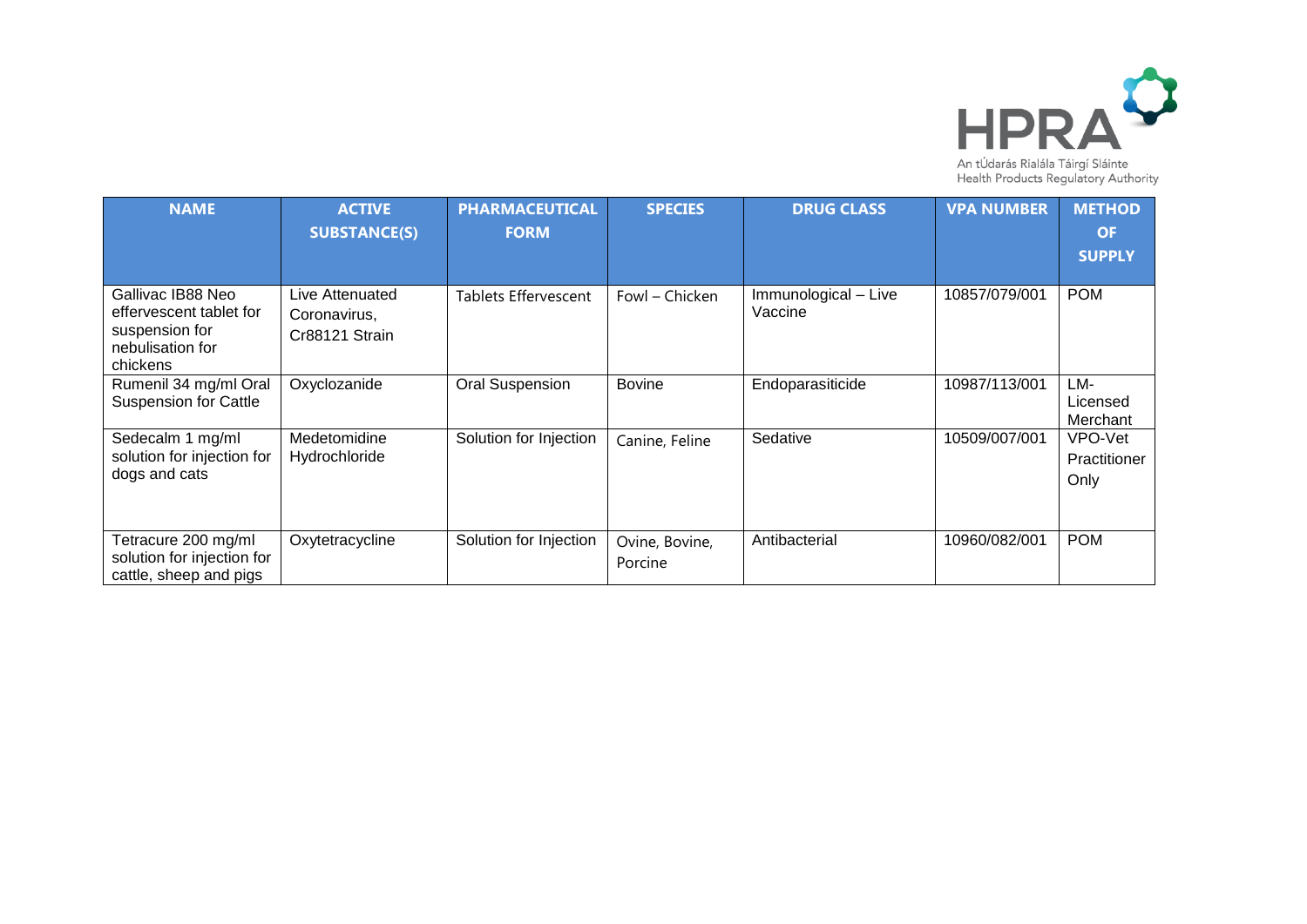

| <b>NAME</b>                                                                                    | <b>ACTIVE</b><br><b>SUBSTANCE(S)</b>              | <b>PHARMACEUTICAL</b><br><b>FORM</b> | <b>SPECIES</b>            | <b>DRUG CLASS</b>                                    | <b>VPA NUMBER</b> | <b>METHOD</b><br><b>OF</b>      |
|------------------------------------------------------------------------------------------------|---------------------------------------------------|--------------------------------------|---------------------------|------------------------------------------------------|-------------------|---------------------------------|
|                                                                                                |                                                   |                                      |                           |                                                      |                   | <b>SUPPLY</b>                   |
| Gallivac IB88 Neo<br>effervescent tablet for<br>suspension for<br>nebulisation for<br>chickens | Live Attenuated<br>Coronavirus,<br>Cr88121 Strain | Tablets Effervescent                 | Fowl – Chicken            | $\overline{\text{Im}}$ munological – Live<br>Vaccine | 10857/079/001     | <b>POM</b>                      |
| Rumenil 34 mg/ml Oral<br><b>Suspension for Cattle</b>                                          | Oxyclozanide                                      | <b>Oral Suspension</b>               | <b>Bovine</b>             | Endoparasiticide                                     | 10987/113/001     | LM-<br>Licensed<br>Merchant     |
| Sedecalm 1 mg/ml<br>solution for injection for<br>dogs and cats                                | Medetomidine<br>Hydrochloride                     | Solution for Injection               | Canine, Feline            | Sedative                                             | 10509/007/001     | VPO-Vet<br>Practitioner<br>Only |
| Tetracure 200 mg/ml<br>solution for injection for<br>cattle, sheep and pigs                    | Oxytetracycline                                   | Solution for Injection               | Ovine, Bovine,<br>Porcine | Antibacterial                                        | 10960/082/001     | <b>POM</b>                      |